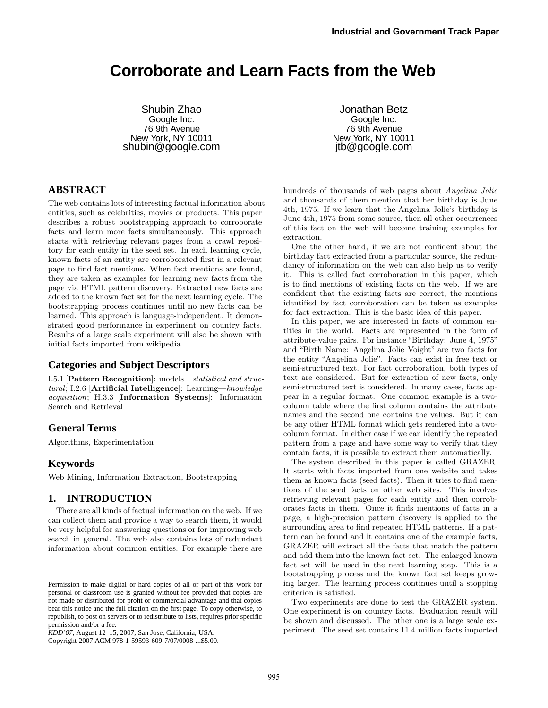# **Corroborate and Learn Facts from the Web**

Shubin Zhao Google Inc. 76 9th Avenue New York, NY 10011 shubin@google.com

Jonathan Betz Google Inc. 76 9th Avenue New York, NY 10011 jtb@google.com

# **ABSTRACT**

The web contains lots of interesting factual information about entities, such as celebrities, movies or products. This paper describes a robust bootstrapping approach to corroborate facts and learn more facts simultaneously. This approach starts with retrieving relevant pages from a crawl repository for each entity in the seed set. In each learning cycle, known facts of an entity are corroborated first in a relevant page to find fact mentions. When fact mentions are found, they are taken as examples for learning new facts from the page via HTML pattern discovery. Extracted new facts are added to the known fact set for the next learning cycle. The bootstrapping process continues until no new facts can be learned. This approach is language-independent. It demonstrated good performance in experiment on country facts. Results of a large scale experiment will also be shown with initial facts imported from wikipedia.

## **Categories and Subject Descriptors**

I.5.1 [Pattern Recognition]: models—statistical and structural; I.2.6 [Artificial Intelligence]: Learning—knowledge acquisition; H.3.3 [Information Systems]: Information Search and Retrieval

## **General Terms**

Algorithms, Experimentation

# **Keywords**

Web Mining, Information Extraction, Bootstrapping

## **1. INTRODUCTION**

There are all kinds of factual information on the web. If we can collect them and provide a way to search them, it would be very helpful for answering questions or for improving web search in general. The web also contains lots of redundant information about common entities. For example there are

Copyright 2007 ACM 978-1-59593-609-7/07/0008 ...\$5.00.

hundreds of thousands of web pages about Angelina Jolie and thousands of them mention that her birthday is June 4th, 1975. If we learn that the Angelina Jolie's birthday is June 4th, 1975 from some source, then all other occurrences of this fact on the web will become training examples for extraction.

One the other hand, if we are not confident about the birthday fact extracted from a particular source, the redundancy of information on the web can also help us to verify it. This is called fact corroboration in this paper, which is to find mentions of existing facts on the web. If we are confident that the existing facts are correct, the mentions identified by fact corroboration can be taken as examples for fact extraction. This is the basic idea of this paper.

In this paper, we are interested in facts of common entities in the world. Facts are represented in the form of attribute-value pairs. For instance "Birthday: June 4, 1975" and "Birth Name: Angelina Jolie Voight" are two facts for the entity "Angelina Jolie". Facts can exist in free text or semi-structured text. For fact corroboration, both types of text are considered. But for extraction of new facts, only semi-structured text is considered. In many cases, facts appear in a regular format. One common example is a twocolumn table where the first column contains the attribute names and the second one contains the values. But it can be any other HTML format which gets rendered into a twocolumn format. In either case if we can identify the repeated pattern from a page and have some way to verify that they contain facts, it is possible to extract them automatically.

The system described in this paper is called GRAZER. It starts with facts imported from one website and takes them as known facts (seed facts). Then it tries to find mentions of the seed facts on other web sites. This involves retrieving relevant pages for each entity and then corroborates facts in them. Once it finds mentions of facts in a page, a high-precision pattern discovery is applied to the surrounding area to find repeated HTML patterns. If a pattern can be found and it contains one of the example facts, GRAZER will extract all the facts that match the pattern and add them into the known fact set. The enlarged known fact set will be used in the next learning step. This is a bootstrapping process and the known fact set keeps growing larger. The learning process continues until a stopping criterion is satisfied.

Two experiments are done to test the GRAZER system. One experiment is on country facts. Evaluation result will be shown and discussed. The other one is a large scale experiment. The seed set contains 11.4 million facts imported

Permission to make digital or hard copies of all or part of this work for personal or classroom use is granted without fee provided that copies are not made or distributed for profit or commercial advantage and that copies bear this notice and the full citation on the first page. To copy otherwise, to republish, to post on servers or to redistribute to lists, requires prior specific permission and/or a fee.

*KDD'07,* August 12–15, 2007, San Jose, California, USA.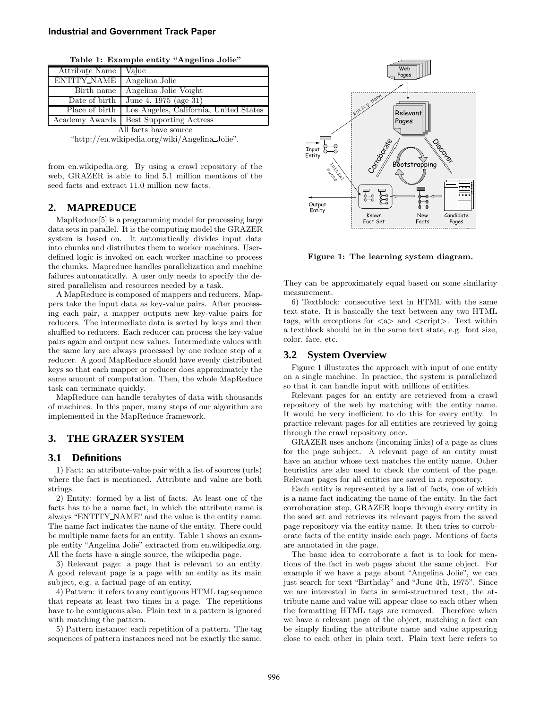| Attribute Name        | Value                                  |  |  |
|-----------------------|----------------------------------------|--|--|
| ENTITY_NAME           | Angelina Jolie                         |  |  |
| Birth name            | Angelina Jolie Voight                  |  |  |
| Date of birth         | June 4, 1975 (age 31)                  |  |  |
| Place of birth        | Los Angeles, California, United States |  |  |
| Academy Awards        | <b>Best Supporting Actress</b>         |  |  |
| All facts have source |                                        |  |  |

Table 1: Example entity "Angelina Jolie"

"http://en.wikipedia.org/wiki/Angelina Jolie".

from en.wikipedia.org. By using a crawl repository of the web, GRAZER is able to find 5.1 million mentions of the seed facts and extract 11.0 million new facts.

## **2. MAPREDUCE**

MapReduce[5] is a programming model for processing large data sets in parallel. It is the computing model the GRAZER system is based on. It automatically divides input data into chunks and distributes them to worker machines. Userdefined logic is invoked on each worker machine to process the chunks. Mapreduce handles parallelization and machine failures automatically. A user only needs to specify the desired parallelism and resources needed by a task.

A MapReduce is composed of mappers and reducers. Mappers take the input data as key-value pairs. After processing each pair, a mapper outputs new key-value pairs for reducers. The intermediate data is sorted by keys and then shuffled to reducers. Each reducer can process the key-value pairs again and output new values. Intermediate values with the same key are always processed by one reduce step of a reducer. A good MapReduce should have evenly distributed keys so that each mapper or reducer does approximately the same amount of computation. Then, the whole MapReduce task can terminate quickly.

MapReduce can handle terabytes of data with thousands of machines. In this paper, many steps of our algorithm are implemented in the MapReduce framework.

# **3. THE GRAZER SYSTEM**

## **3.1 Definitions**

1) Fact: an attribute-value pair with a list of sources (urls) where the fact is mentioned. Attribute and value are both strings.

2) Entity: formed by a list of facts. At least one of the facts has to be a name fact, in which the attribute name is always "ENTITY NAME" and the value is the entity name. The name fact indicates the name of the entity. There could be multiple name facts for an entity. Table 1 shows an example entity "Angelina Jolie" extracted from en.wikipedia.org. All the facts have a single source, the wikipedia page.

3) Relevant page: a page that is relevant to an entity. A good relevant page is a page with an entity as its main subject, e.g. a factual page of an entity.

4) Pattern: it refers to any contiguous HTML tag sequence that repeats at least two times in a page. The repetitions have to be contiguous also. Plain text in a pattern is ignored with matching the pattern.

5) Pattern instance: each repetition of a pattern. The tag sequences of pattern instances need not be exactly the same.



Figure 1: The learning system diagram.

They can be approximately equal based on some similarity measurement.

6) Textblock: consecutive text in HTML with the same text state. It is basically the text between any two HTML tags, with exceptions for  $\langle a \rangle$  and  $\langle$ script $\rangle$ . Text within a textblock should be in the same text state, e.g. font size, color, face, etc.

## **3.2 System Overview**

Figure 1 illustrates the approach with input of one entity on a single machine. In practice, the system is parallelized so that it can handle input with millions of entities.

Relevant pages for an entity are retrieved from a crawl repository of the web by matching with the entity name. It would be very inefficient to do this for every entity. In practice relevant pages for all entities are retrieved by going through the crawl repository once.

GRAZER uses anchors (incoming links) of a page as clues for the page subject. A relevant page of an entity must have an anchor whose text matches the entity name. Other heuristics are also used to check the content of the page. Relevant pages for all entities are saved in a repository.

Each entity is represented by a list of facts, one of which is a name fact indicating the name of the entity. In the fact corroboration step, GRAZER loops through every entity in the seed set and retrieves its relevant pages from the saved page repository via the entity name. It then tries to corroborate facts of the entity inside each page. Mentions of facts are annotated in the page.

The basic idea to corroborate a fact is to look for mentions of the fact in web pages about the same object. For example if we have a page about "Angelina Jolie", we can just search for text "Birthday" and "June 4th, 1975". Since we are interested in facts in semi-structured text, the attribute name and value will appear close to each other when the formatting HTML tags are removed. Therefore when we have a relevant page of the object, matching a fact can be simply finding the attribute name and value appearing close to each other in plain text. Plain text here refers to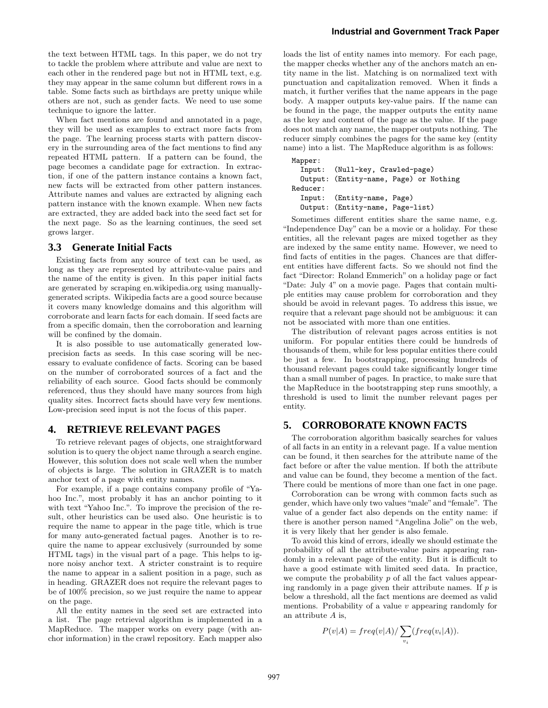the text between HTML tags. In this paper, we do not try to tackle the problem where attribute and value are next to each other in the rendered page but not in HTML text, e.g. they may appear in the same column but different rows in a table. Some facts such as birthdays are pretty unique while others are not, such as gender facts. We need to use some technique to ignore the latter.

When fact mentions are found and annotated in a page, they will be used as examples to extract more facts from the page. The learning process starts with pattern discovery in the surrounding area of the fact mentions to find any repeated HTML pattern. If a pattern can be found, the page becomes a candidate page for extraction. In extraction, if one of the pattern instance contains a known fact, new facts will be extracted from other pattern instances. Attribute names and values are extracted by aligning each pattern instance with the known example. When new facts are extracted, they are added back into the seed fact set for the next page. So as the learning continues, the seed set grows larger.

#### **3.3 Generate Initial Facts**

Existing facts from any source of text can be used, as long as they are represented by attribute-value pairs and the name of the entity is given. In this paper initial facts are generated by scraping en.wikipedia.org using manuallygenerated scripts. Wikipedia facts are a good source because it covers many knowledge domains and this algorithm will corroborate and learn facts for each domain. If seed facts are from a specific domain, then the corroboration and learning will be confined by the domain.

It is also possible to use automatically generated lowprecision facts as seeds. In this case scoring will be necessary to evaluate confidence of facts. Scoring can be based on the number of corroborated sources of a fact and the reliability of each source. Good facts should be commonly referenced, thus they should have many sources from high quality sites. Incorrect facts should have very few mentions. Low-precision seed input is not the focus of this paper.

#### **4. RETRIEVE RELEVANT PAGES**

To retrieve relevant pages of objects, one straightforward solution is to query the object name through a search engine. However, this solution does not scale well when the number of objects is large. The solution in GRAZER is to match anchor text of a page with entity names.

For example, if a page contains company profile of "Yahoo Inc.", most probably it has an anchor pointing to it with text "Yahoo Inc.". To improve the precision of the result, other heuristics can be used also. One heuristic is to require the name to appear in the page title, which is true for many auto-generated factual pages. Another is to require the name to appear exclusively (surrounded by some HTML tags) in the visual part of a page. This helps to ignore noisy anchor text. A stricter constraint is to require the name to appear in a salient position in a page, such as in heading. GRAZER does not require the relevant pages to be of 100% precision, so we just require the name to appear on the page.

All the entity names in the seed set are extracted into a list. The page retrieval algorithm is implemented in a MapReduce. The mapper works on every page (with anchor information) in the crawl repository. Each mapper also

loads the list of entity names into memory. For each page, the mapper checks whether any of the anchors match an entity name in the list. Matching is on normalized text with punctuation and capitalization removed. When it finds a match, it further verifies that the name appears in the page body. A mapper outputs key-value pairs. If the name can be found in the page, the mapper outputs the entity name as the key and content of the page as the value. If the page does not match any name, the mapper outputs nothing. The reducer simply combines the pages for the same key (entity name) into a list. The MapReduce algorithm is as follows:

```
Mapper:
  Input: (Null-key, Crawled-page)
  Output: (Entity-name, Page) or Nothing
Reducer:
  Input: (Entity-name, Page)
  Output: (Entity-name, Page-list)
```
Sometimes different entities share the same name, e.g. "Independence Day" can be a movie or a holiday. For these entities, all the relevant pages are mixed together as they are indexed by the same entity name. However, we need to find facts of entities in the pages. Chances are that different entities have different facts. So we should not find the fact "Director: Roland Emmerich" on a holiday page or fact "Date: July 4" on a movie page. Pages that contain multiple entities may cause problem for corroboration and they should be avoid in relevant pages. To address this issue, we require that a relevant page should not be ambiguous: it can not be associated with more than one entities.

The distribution of relevant pages across entities is not uniform. For popular entities there could be hundreds of thousands of them, while for less popular entities there could be just a few. In bootstrapping, processing hundreds of thousand relevant pages could take significantly longer time than a small number of pages. In practice, to make sure that the MapReduce in the bootstrapping step runs smoothly, a threshold is used to limit the number relevant pages per entity.

## **5. CORROBORATE KNOWN FACTS**

The corroboration algorithm basically searches for values of all facts in an entity in a relevant page. If a value mention can be found, it then searches for the attribute name of the fact before or after the value mention. If both the attribute and value can be found, they become a mention of the fact. There could be mentions of more than one fact in one page.

Corroboration can be wrong with common facts such as gender, which have only two values "male" and "female". The value of a gender fact also depends on the entity name: if there is another person named "Angelina Jolie" on the web, it is very likely that her gender is also female.

To avoid this kind of errors, ideally we should estimate the probability of all the attribute-value pairs appearing randomly in a relevant page of the entity. But it is difficult to have a good estimate with limited seed data. In practice, we compute the probability  $p$  of all the fact values appearing randomly in a page given their attribute names. If  $p$  is below a threshold, all the fact mentions are deemed as valid mentions. Probability of a value  $v$  appearing randomly for an attribute  $A$  is,

$$
P(v|A) = freq(v|A) / \sum_{v_i} (freq(v_i|A)).
$$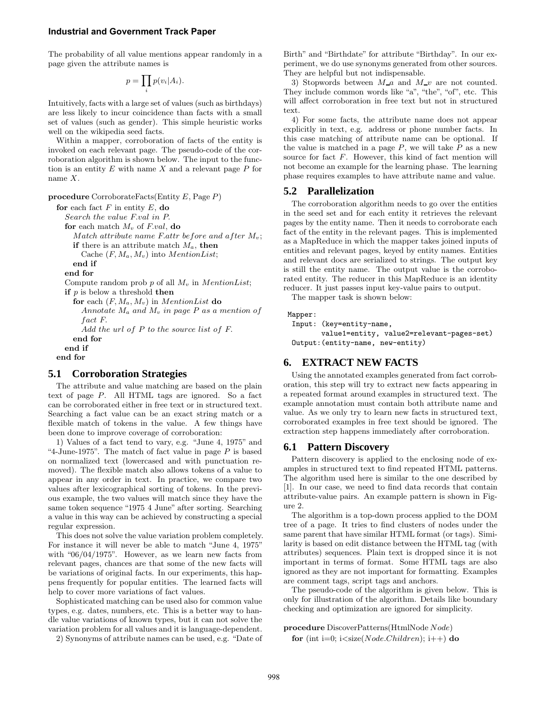#### **Industrial and Government Track Paper**

The probability of all value mentions appear randomly in a page given the attribute names is

$$
p = \prod_i p(v_i | A_i).
$$

Intuitively, facts with a large set of values (such as birthdays) are less likely to incur coincidence than facts with a small set of values (such as gender). This simple heuristic works well on the wikipedia seed facts.

Within a mapper, corroboration of facts of the entity is invoked on each relevant page. The pseudo-code of the corroboration algorithm is shown below. The input to the function is an entity  $E$  with name  $X$  and a relevant page  $P$  for name  $X$ .

procedure CorroborateFacts(Entity E, Page P)

```
for each fact F in entity E, do
 Search the value F.val in P.
 for each match M_v of F.val, do
    Match attribute name F.attr before and after M_v;
    if there is an attribute match M_a, then
      Cache (F, M_a, M_v) into MentionList;
    end if
 end for
 Compute random prob p of all M_v in MentionList;
 if p is below a threshold then
    for each (F, M_a, M_v) in MentionList do
      Annotate M_a and M_v in page P as a mention of
      fact F.
      Add the url of P to the source list of F.
    end for
 end if
end for
```
### **5.1 Corroboration Strategies**

The attribute and value matching are based on the plain text of page P. All HTML tags are ignored. So a fact can be corroborated either in free text or in structured text. Searching a fact value can be an exact string match or a flexible match of tokens in the value. A few things have been done to improve coverage of corroboration:

1) Values of a fact tend to vary, e.g. "June 4, 1975" and "4-June-1975". The match of fact value in page  $P$  is based on normalized text (lowercased and with punctuation removed). The flexible match also allows tokens of a value to appear in any order in text. In practice, we compare two values after lexicographical sorting of tokens. In the previous example, the two values will match since they have the same token sequence "1975 4 June" after sorting. Searching a value in this way can be achieved by constructing a special regular expression.

This does not solve the value variation problem completely. For instance it will never be able to match "June 4, 1975" with "06/04/1975". However, as we learn new facts from relevant pages, chances are that some of the new facts will be variations of original facts. In our experiments, this happens frequently for popular entities. The learned facts will help to cover more variations of fact values.

Sophisticated matching can be used also for common value types, e.g. dates, numbers, etc. This is a better way to handle value variations of known types, but it can not solve the variation problem for all values and it is language-dependent.

2) Synonyms of attribute names can be used, e.g. "Date of

Birth" and "Birthdate" for attribute "Birthday". In our experiment, we do use synonyms generated from other sources. They are helpful but not indispensable.

3) Stopwords between  $M_a$  and  $M_{v}$  are not counted. They include common words like "a", "the", "of", etc. This will affect corroboration in free text but not in structured text.

4) For some facts, the attribute name does not appear explicitly in text, e.g. address or phone number facts. In this case matching of attribute name can be optional. If the value is matched in a page  $P$ , we will take  $P$  as a new source for fact  $F$ . However, this kind of fact mention will not become an example for the learning phase. The learning phase requires examples to have attribute name and value.

#### **5.2 Parallelization**

The corroboration algorithm needs to go over the entities in the seed set and for each entity it retrieves the relevant pages by the entity name. Then it needs to corroborate each fact of the entity in the relevant pages. This is implemented as a MapReduce in which the mapper takes joined inputs of entities and relevant pages, keyed by entity names. Entities and relevant docs are serialized to strings. The output key is still the entity name. The output value is the corroborated entity. The reducer in this MapReduce is an identity reducer. It just passes input key-value pairs to output.

The mapper task is shown below:

#### Mapper:

```
Input: (key=entity-name,
       value1=entity, value2=relevant-pages-set)
Output:(entity-name, new-entity)
```
### **6. EXTRACT NEW FACTS**

Using the annotated examples generated from fact corroboration, this step will try to extract new facts appearing in a repeated format around examples in structured text. The example annotation must contain both attribute name and value. As we only try to learn new facts in structured text, corroborated examples in free text should be ignored. The extraction step happens immediately after corroboration.

#### **6.1 Pattern Discovery**

Pattern discovery is applied to the enclosing node of examples in structured text to find repeated HTML patterns. The algorithm used here is similar to the one described by [1]. In our case, we need to find data records that contain attribute-value pairs. An example pattern is shown in Figure 2.

The algorithm is a top-down process applied to the DOM tree of a page. It tries to find clusters of nodes under the same parent that have similar HTML format (or tags). Similarity is based on edit distance between the HTML tag (with attributes) sequences. Plain text is dropped since it is not important in terms of format. Some HTML tags are also ignored as they are not important for formatting. Examples are comment tags, script tags and anchors.

The pseudo-code of the algorithm is given below. This is only for illustration of the algorithm. Details like boundary checking and optimization are ignored for simplicity.

### procedure DiscoverPatterns(HtmlNode Node)

for (int i=0;  $i <$ size(*Node.Children*);  $i++$ ) do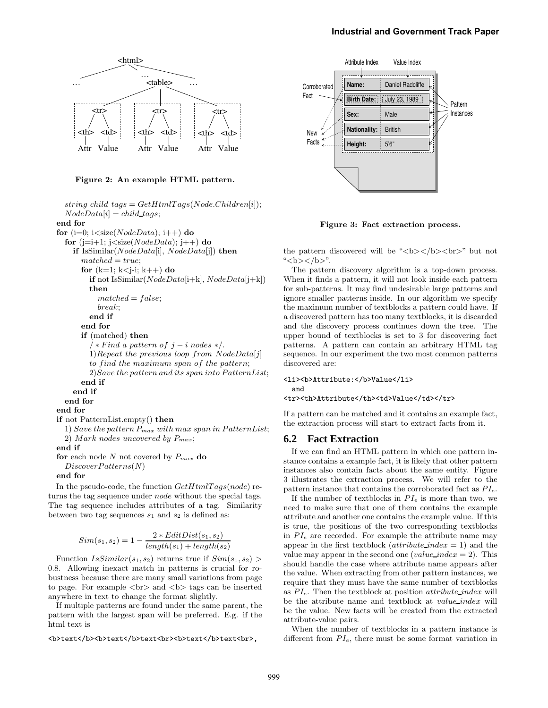#### **Industrial and Government Track Paper**



Figure 2: An example HTML pattern.

string child tags =  $GetHtmlTags(Node.Children[i]);$  $NodeData[i] = child\_tags;$ end for for  $(i=0; i < size(NodeData); i++)$  do for  $(i=i+1; j < size(NodeData); i++)$  do if IsSimilar( $NodeData[i], NodeData[j])$  then  $matched = true;$ for  $(k=1; k < j-i; k++)$  do if not IsSimilar( $NodeData[i+k], NodeData[j+k])$ then  $matched = false$ ; break; end if end for if (matched) then  $\ell$  \* Find a pattern of j – i nodes \*/. 1)Repeat the previous loop from  $NodeData[j]$ to find the maximum span of the pattern; 2)Save the pattern and its span into PatternList; end if end if end for end for if not PatternList.empty() then 1) Save the pattern  $P_{max}$  with max span in PatternList; 2) Mark nodes uncovered by  $P_{max}$ ; end if for each node N not covered by  $P_{max}$  do DiscoverPatterns(N) end for

In the pseudo-code, the function  $GetHtmlTags(node)$  returns the tag sequence under node without the special tags. The tag sequence includes attributes of a tag. Similarity between two tag sequences  $s_1$  and  $s_2$  is defined as:

$$
Sim(s_1, s_2) = 1 - \frac{2 * EditDist(s_1, s_2)}{length(s_1) + length(s_2)}
$$

Function  $IsSimilar(s_1, s_2)$  returns true if  $Sim(s_1, s_2)$ 0.8. Allowing inexact match in patterns is crucial for robustness because there are many small variations from page to page. For example  $\langle$ br $\rangle$  and  $\langle$ b $\rangle$  tags can be inserted anywhere in text to change the format slightly.

If multiple patterns are found under the same parent, the pattern with the largest span will be preferred. E.g. if the html text is

<b>text</b><b>text</b>text<br><b>text</b>text<br>,



Figure 3: Fact extraction process.

the pattern discovered will be " $**>**$  $**>**$  $**>**$  $**>**$  $**>**$  $**>**$  $**>**$  $**>**$  $**>**$  $**>**$  $**>**$  $**>**$  $**>**$  $**>**$  $**>**$  $**>**$  $**>**$  $**>**$  $**>**$  $**>**$  $**>**$  $**>**$  $**>**$  $**>**$  $**>**$  $**>**$ "<b></b>".

The pattern discovery algorithm is a top-down process. When it finds a pattern, it will not look inside each pattern for sub-patterns. It may find undesirable large patterns and ignore smaller patterns inside. In our algorithm we specify the maximum number of textblocks a pattern could have. If a discovered pattern has too many textblocks, it is discarded and the discovery process continues down the tree. The upper bound of textblocks is set to 3 for discovering fact patterns. A pattern can contain an arbitrary HTML tag sequence. In our experiment the two most common patterns discovered are:

#### <li><br />
Attribute:</b>Value</li>

and

<tr>><th>Attribute</th><td>Value</td></tr>

If a pattern can be matched and it contains an example fact, the extraction process will start to extract facts from it.

#### **6.2 Fact Extraction**

If we can find an HTML pattern in which one pattern instance contains a example fact, it is likely that other pattern instances also contain facts about the same entity. Figure 3 illustrates the extraction process. We will refer to the pattern instance that contains the corroborated fact as  $PI_e$ .

If the number of textblocks in  $PI_e$  is more than two, we need to make sure that one of them contains the example attribute and another one contains the example value. If this is true, the positions of the two corresponding textblocks in  $PI_e$  are recorded. For example the attribute name may appear in the first textblock (*attribute index*  $= 1$ ) and the value may appear in the second one (value\_index = 2). This should handle the case where attribute name appears after the value. When extracting from other pattern instances, we require that they must have the same number of textblocks as  $PI_e$ . Then the textblock at position *attribute\_index* will be the attribute name and textblock at value index will be the value. New facts will be created from the extracted attribute-value pairs.

When the number of textblocks in a pattern instance is different from  $PI_e$ , there must be some format variation in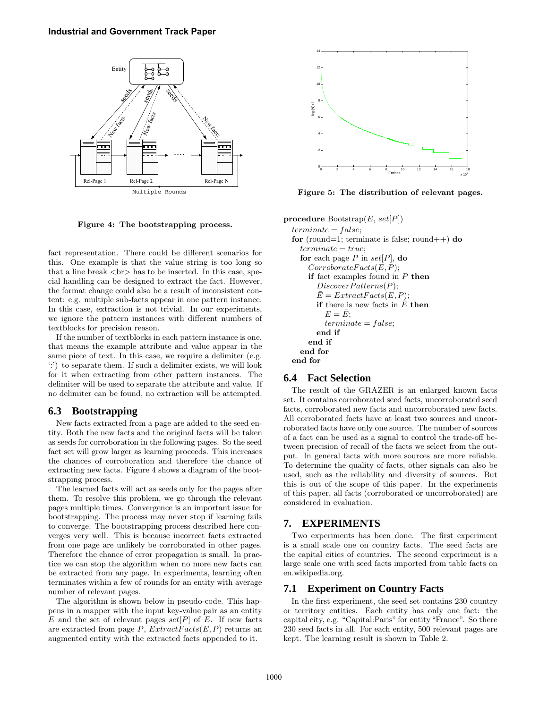

Figure 4: The bootstrapping process.

fact representation. There could be different scenarios for this. One example is that the value string is too long so that a line break  $\langle$ br $\rangle$  has to be inserted. In this case, special handling can be designed to extract the fact. However, the format change could also be a result of inconsistent content: e.g. multiple sub-facts appear in one pattern instance. In this case, extraction is not trivial. In our experiments, we ignore the pattern instances with different numbers of textblocks for precision reason.

If the number of textblocks in each pattern instance is one, that means the example attribute and value appear in the same piece of text. In this case, we require a delimiter (e.g. ':') to separate them. If such a delimiter exists, we will look for it when extracting from other pattern instances. The delimiter will be used to separate the attribute and value. If no delimiter can be found, no extraction will be attempted.

## **6.3 Bootstrapping**

New facts extracted from a page are added to the seed entity. Both the new facts and the original facts will be taken as seeds for corroboration in the following pages. So the seed fact set will grow larger as learning proceeds. This increases the chances of corroboration and therefore the chance of extracting new facts. Figure 4 shows a diagram of the bootstrapping process.

The learned facts will act as seeds only for the pages after them. To resolve this problem, we go through the relevant pages multiple times. Convergence is an important issue for bootstrapping. The process may never stop if learning fails to converge. The bootstrapping process described here converges very well. This is because incorrect facts extracted from one page are unlikely be corroborated in other pages. Therefore the chance of error propagation is small. In practice we can stop the algorithm when no more new facts can be extracted from any page. In experiments, learning often terminates within a few of rounds for an entity with average number of relevant pages.

The algorithm is shown below in pseudo-code. This happens in a mapper with the input key-value pair as an entity E and the set of relevant pages  $set[P]$  of E. If new facts are extracted from page  $P$ ,  $ExtractFacts(E,P)$  returns an augmented entity with the extracted facts appended to it.



Figure 5: The distribution of relevant pages.

procedure Bootstrap $(E, set[P])$ 

```
terminate = false;for (round=1; terminate is false; round++) do
  terminate = true;for each page P in set[P], do
    Corroborate Facts(E, P);if fact examples found in P then
      DiscoverPatterns(P);
      \bar{E} = ExtractFacts(E, P);if there is new facts in \bar{E} then
         E = \bar{E}:
         terminate = false;end if
    end if
  end for
end for
```
#### **6.4 Fact Selection**

The result of the GRAZER is an enlarged known facts set. It contains corroborated seed facts, uncorroborated seed facts, corroborated new facts and uncorroborated new facts. All corroborated facts have at least two sources and uncorroborated facts have only one source. The number of sources of a fact can be used as a signal to control the trade-off between precision of recall of the facts we select from the output. In general facts with more sources are more reliable. To determine the quality of facts, other signals can also be used, such as the reliability and diversity of sources. But this is out of the scope of this paper. In the experiments of this paper, all facts (corroborated or uncorroborated) are considered in evaluation.

# **7. EXPERIMENTS**

Two experiments has been done. The first experiment is a small scale one on country facts. The seed facts are the capital cities of countries. The second experiment is a large scale one with seed facts imported from table facts on en.wikipedia.org.

#### **7.1 Experiment on Country Facts**

In the first experiment, the seed set contains 230 country or territory entities. Each entity has only one fact: the capital city, e.g. "Capital:Paris" for entity "France". So there 230 seed facts in all. For each entity, 500 relevant pages are kept. The learning result is shown in Table 2.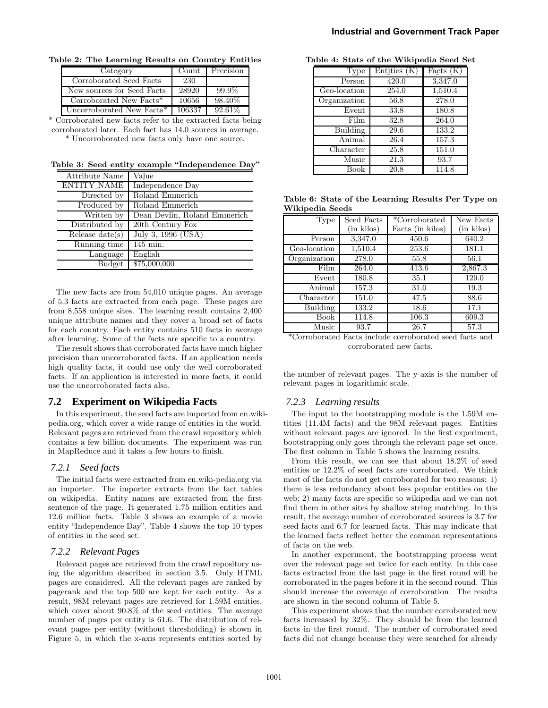|  |  | Industrial and Government Track Paper |  |  |
|--|--|---------------------------------------|--|--|
|--|--|---------------------------------------|--|--|

| Category                   | Count  | Precision |
|----------------------------|--------|-----------|
| Corroborated Seed Facts    | 230    |           |
| New sources for Seed Facts | 28920  | 99.9%     |
| Corroborated New Facts*    | 10656  | 98.40%    |
| Uncorroborated New Facts*  | 106337 | 92.61%    |

Table 2: The Learning Results on Country Entities

\* Corroborated new facts refer to the extracted facts being corroborated later. Each fact has 14.0 sources in average.

\* Uncorroborated new facts only have one source.

Table 3: Seed entity example "Independence Day"

| Attribute Name     | Value                        |
|--------------------|------------------------------|
| <b>ENTITY_NAME</b> | Independence Day             |
| Directed by        | Roland Emmerich              |
| Produced by        | Roland Emmerich              |
| Written by         | Dean Devlin, Roland Emmerich |
| Distributed by     | 20th Century Fox             |
| Release $date(s)$  | July 3, 1996 (USA)           |
| Running time       | 145 min.                     |
| Language           | English                      |
| <b>Budget</b>      | \$75,000,000                 |

The new facts are from 54,010 unique pages. An average of 5.3 facts are extracted from each page. These pages are from 8,558 unique sites. The learning result contains 2,400 unique attribute names and they cover a broad set of facts for each country. Each entity contains 510 facts in average after learning. Some of the facts are specific to a country.

The result shows that corroborated facts have much higher precision than uncorroborated facts. If an application needs high quality facts, it could use only the well corroborated facts. If an application is interested in more facts, it could use the uncorroborated facts also.

#### **7.2 Experiment on Wikipedia Facts**

In this experiment, the seed facts are imported from en.wikipedia.org, which cover a wide range of entities in the world. Relevant pages are retrieved from the crawl repository which contains a few billion documents. The experiment was run in MapReduce and it takes a few hours to finish.

#### *7.2.1 Seed facts*

The initial facts were extracted from en.wiki-pedia.org via an importer. The importer extracts from the fact tables on wikipedia. Entity names are extracted from the first sentence of the page. It generated 1.75 million entities and 12.6 million facts. Table 3 shows an example of a movie entity "Independence Day". Table 4 shows the top 10 types of entities in the seed set.

#### *7.2.2 Relevant Pages*

Relevant pages are retrieved from the crawl repository using the algorithm described in section 3.5. Only HTML pages are considered. All the relevant pages are ranked by pagerank and the top 500 are kept for each entity. As a result, 98M relevant pages are retrieved for 1.59M entities, which cover about  $90.8\%$  of the seed entities. The average number of pages per entity is 61.6. The distribution of relevant pages per entity (without thresholding) is shown in Figure 5, in which the x-axis represents entities sorted by

| Table 4: Stats of the Wikipedia Seed Set |
|------------------------------------------|
|------------------------------------------|

| Type         | Entities (K)      | $\overline{\text{Facts}}$ (K) |
|--------------|-------------------|-------------------------------|
| Person       | 420.0             | 3,347.0                       |
| Geo-location | 254.0             | 1,510.4                       |
| Organization | 56.8              | 278.0                         |
| Event        | 33.8              | 180.8                         |
| Film         | 32.8              | 264.0                         |
| Building     | 29.6              | 133.2                         |
| Animal       | 26.4              | 157.3                         |
| Character    | 25.8              | 151.0                         |
| Music        | $\overline{21}.3$ | 93.7                          |
| Book         | 20.8              | 114.8                         |

|                 |  | Table 6: Stats of the Learning Results Per Type on |  |  |
|-----------------|--|----------------------------------------------------|--|--|
| Wikipedia Seeds |  |                                                    |  |  |

| <b>Type</b>  | Seed Facts | *Corroborated                                                       | New Facts  |
|--------------|------------|---------------------------------------------------------------------|------------|
|              | (in kilos) | Facts (in kilos)                                                    | (in kilos) |
| Person       | 3,347.0    | 450.6                                                               | 640.2      |
| Geo-location | 1,510.4    | 253.6                                                               | 181.1      |
| Organization | 278.0      | 55.8                                                                | 56.1       |
| Film         | 264.0      | 413.6                                                               | 2,867.3    |
| Event        | 180.8      | 35.1                                                                | 129.0      |
| Animal       | 157.3      | 31.0                                                                | 19.3       |
| Character    | 151.0      | 47.5                                                                | 88.6       |
| Building     | 133.2      | 18.6                                                                | 17.1       |
| Book         | 114.8      | 106.3                                                               | 609.3      |
| Music        | 93.7       | 26.7                                                                | 57.3       |
|              |            | $*$ Council and the late in the late counterpart of seal factor and |            |

\*Corroborated Facts include corroborated seed facts and corroborated new facts.

the number of relevant pages. The y-axis is the number of relevant pages in logarithmic scale.

#### *7.2.3 Learning results*

The input to the bootstrapping module is the 1.59M entities (11.4M facts) and the 98M relevant pages. Entities without relevant pages are ignored. In the first experiment, bootstrapping only goes through the relevant page set once. The first column in Table 5 shows the learning results.

From this result, we can see that about 18.2% of seed entities or 12.2% of seed facts are corroborated. We think most of the facts do not get corroborated for two reasons: 1) there is less redundancy about less popular entities on the web; 2) many facts are specific to wikipedia and we can not find them in other sites by shallow string matching. In this result, the average number of corroborated sources is 3.7 for seed facts and 6.7 for learned facts. This may indicate that the learned facts reflect better the common representations of facts on the web.

In another experiment, the bootstrapping process went over the relevant page set twice for each entity. In this case facts extracted from the last page in the first round will be corroborated in the pages before it in the second round. This should increase the coverage of corroboration. The results are shown in the second column of Table 5.

This experiment shows that the number corroborated new facts increased by 32%. They should be from the learned facts in the first round. The number of corroborated seed facts did not change because they were searched for already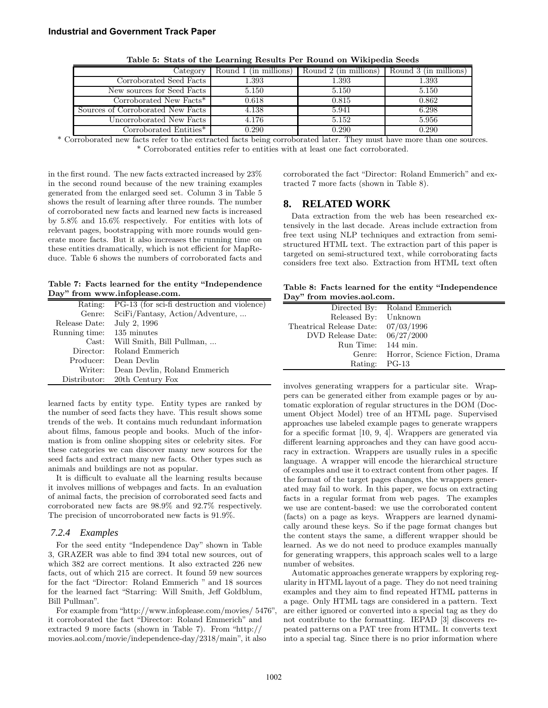| Category                          | Round 1 (in millions) | Round 2 (in millions) | Round 3 (in millions) |
|-----------------------------------|-----------------------|-----------------------|-----------------------|
| Corroborated Seed Facts           | 1.393                 | 1.393                 | 1.393                 |
| New sources for Seed Facts        | 5.150                 | 5.150                 | 5.150                 |
| Corroborated New Facts*           | 0.618                 | 0.815                 | 0.862                 |
| Sources of Corroborated New Facts | 4.138                 | 5.941                 | 6.298                 |
| Uncorroborated New Facts          | 4.176                 | 5.152                 | 5.956                 |
| $Corroborated$ $Entities^*$       | 0.290                 | 0.290                 | 0.290                 |

Table 5: Stats of the Learning Results Per Round on Wikipedia Seeds

\* Corroborated new facts refer to the extracted facts being corroborated later. They must have more than one sources. \* Corroborated entities refer to entities with at least one fact corroborated.

in the first round. The new facts extracted increased by 23% in the second round because of the new training examples generated from the enlarged seed set. Column 3 in Table 5 shows the result of learning after three rounds. The number of corroborated new facts and learned new facts is increased by 5.8% and 15.6% respectively. For entities with lots of relevant pages, bootstrapping with more rounds would generate more facts. But it also increases the running time on these entities dramatically, which is not efficient for MapReduce. Table 6 shows the numbers of corroborated facts and

Table 7: Facts learned for the entity "Independence Day" from www.infoplease.com.

| Rating:        | PG-13 (for sci-fi destruction and violence) |
|----------------|---------------------------------------------|
| Genre:         | SciFi/Fantasy, Action/Adventure,            |
| Release Date:  | July 2, 1996                                |
| Running time:  | 135 minutes                                 |
| $\text{Cast:}$ | Will Smith, Bill Pullman,                   |
| Director:      | Roland Emmerich                             |
| Producer:      | Dean Devlin                                 |
| Writer:        | Dean Devlin, Roland Emmerich                |
| Distributor:   | 20th Century Fox                            |
|                |                                             |

learned facts by entity type. Entity types are ranked by the number of seed facts they have. This result shows some trends of the web. It contains much redundant information about films, famous people and books. Much of the information is from online shopping sites or celebrity sites. For these categories we can discover many new sources for the seed facts and extract many new facts. Other types such as animals and buildings are not as popular.

It is difficult to evaluate all the learning results because it involves millions of webpages and facts. In an evaluation of animal facts, the precision of corroborated seed facts and corroborated new facts are 98.9% and 92.7% respectively. The precision of uncorroborated new facts is 91.9%.

#### *7.2.4 Examples*

For the seed entity "Independence Day" shown in Table 3, GRAZER was able to find 394 total new sources, out of which 382 are correct mentions. It also extracted 226 new facts, out of which 215 are correct. It found 59 new sources for the fact "Director: Roland Emmerich " and 18 sources for the learned fact "Starring: Will Smith, Jeff Goldblum, Bill Pullman".

For example from "http://www.infoplease.com/movies/ 5476", it corroborated the fact "Director: Roland Emmerich" and extracted 9 more facts (shown in Table 7). From "http:// movies.aol.com/movie/independence-day/2318/main", it also

corroborated the fact "Director: Roland Emmerich" and extracted 7 more facts (shown in Table 8).

#### **8. RELATED WORK**

Data extraction from the web has been researched extensively in the last decade. Areas include extraction from free text using NLP techniques and extraction from semistructured HTML text. The extraction part of this paper is targeted on semi-structured text, while corroborating facts considers free text also. Extraction from HTML text often

|  |                           |  | Table 8: Facts learned for the entity "Independence" |
|--|---------------------------|--|------------------------------------------------------|
|  | Day" from movies.aol.com. |  |                                                      |

|                                       | Directed By: Roland Emmerich          |
|---------------------------------------|---------------------------------------|
| Released By: Unknown                  |                                       |
| Theatrical Release Date: $07/03/1996$ |                                       |
| DVD Release Date:                     | 06/27/2000                            |
| Run Time: 144 min.                    |                                       |
|                                       | Genre: Horror, Science Fiction, Drama |
| Rating: PG-13                         |                                       |

involves generating wrappers for a particular site. Wrappers can be generated either from example pages or by automatic exploration of regular structures in the DOM (Document Object Model) tree of an HTML page. Supervised approaches use labeled example pages to generate wrappers for a specific format [10, 9, 4]. Wrappers are generated via different learning approaches and they can have good accuracy in extraction. Wrappers are usually rules in a specific language. A wrapper will encode the hierarchical structure of examples and use it to extract content from other pages. If the format of the target pages changes, the wrappers generated may fail to work. In this paper, we focus on extracting facts in a regular format from web pages. The examples we use are content-based: we use the corroborated content (facts) on a page as keys. Wrappers are learned dynamically around these keys. So if the page format changes but the content stays the same, a different wrapper should be learned. As we do not need to produce examples manually for generating wrappers, this approach scales well to a large number of websites.

Automatic approaches generate wrappers by exploring regularity in HTML layout of a page. They do not need training examples and they aim to find repeated HTML patterns in a page. Only HTML tags are considered in a pattern. Text are either ignored or converted into a special tag as they do not contribute to the formatting. IEPAD [3] discovers repeated patterns on a PAT tree from HTML. It converts text into a special tag. Since there is no prior information where